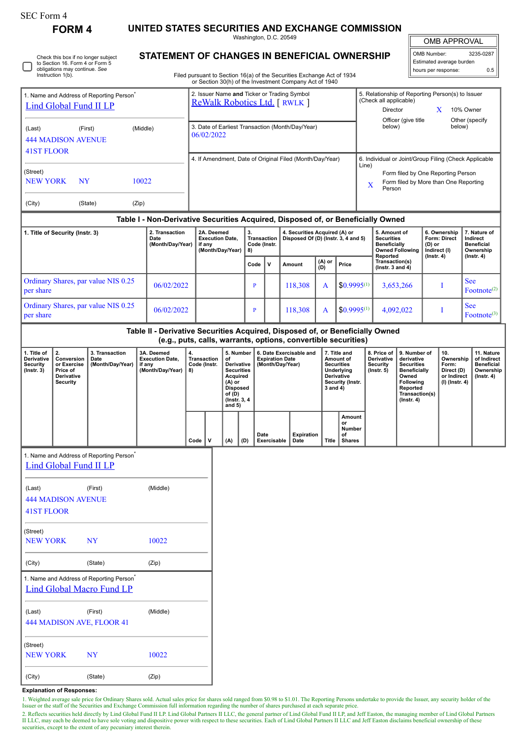| SEC Form 4 |  |
|------------|--|
|------------|--|

Instruction 1(b).

Check this box if no longer subject to Section 16. Form 4 or Form 5 obligations may continue. *See*

**FORM 4 UNITED STATES SECURITIES AND EXCHANGE COMMISSION**

Washington, D.C. 20549 **STATEMENT OF CHANGES IN BENEFICIAL OWNERSHIP**

| OMB APPROVAL               |           |  |  |  |  |  |
|----------------------------|-----------|--|--|--|--|--|
| OMB Number:                | 3235-0287 |  |  |  |  |  |
| Estimated average burden   |           |  |  |  |  |  |
| hours per response:<br>ሰ 5 |           |  |  |  |  |  |

Filed pursuant to Section 16(a) of the Securities Exchange Act of 1934

|                                                                                       |                                                                              |                                                                                          |                                                                                  |                                                |                                                                                                 |                                      |                                                                                                                                                                                                                                         |              |                                                                                                            | or Section 30(h) of the Investment Company Act of 1940   |                                                                  |                                               |                                                                                                                                                |                                         |                                                                             |                                                                                 |                                                                                |                                                       |
|---------------------------------------------------------------------------------------|------------------------------------------------------------------------------|------------------------------------------------------------------------------------------|----------------------------------------------------------------------------------|------------------------------------------------|-------------------------------------------------------------------------------------------------|--------------------------------------|-----------------------------------------------------------------------------------------------------------------------------------------------------------------------------------------------------------------------------------------|--------------|------------------------------------------------------------------------------------------------------------|----------------------------------------------------------|------------------------------------------------------------------|-----------------------------------------------|------------------------------------------------------------------------------------------------------------------------------------------------|-----------------------------------------|-----------------------------------------------------------------------------|---------------------------------------------------------------------------------|--------------------------------------------------------------------------------|-------------------------------------------------------|
| 1. Name and Address of Reporting Person <sup>7</sup><br><b>Lind Global Fund II LP</b> |                                                                              |                                                                                          |                                                                                  |                                                | 2. Issuer Name and Ticker or Trading Symbol<br><b>ReWalk Robotics Ltd.</b> [RWLK ]              |                                      |                                                                                                                                                                                                                                         |              |                                                                                                            |                                                          |                                                                  |                                               | 5. Relationship of Reporting Person(s) to Issuer<br>(Check all applicable)<br>Director<br>X<br>10% Owner                                       |                                         |                                                                             |                                                                                 |                                                                                |                                                       |
| (Middle)<br>(First)<br>(Last)<br><b>444 MADISON AVENUE</b><br>41ST FLOOR              |                                                                              |                                                                                          |                                                                                  |                                                | Officer (give title<br>below)<br>3. Date of Earliest Transaction (Month/Day/Year)<br>06/02/2022 |                                      |                                                                                                                                                                                                                                         |              |                                                                                                            |                                                          |                                                                  |                                               |                                                                                                                                                |                                         |                                                                             | below)                                                                          | Other (specify                                                                 |                                                       |
|                                                                                       |                                                                              |                                                                                          |                                                                                  |                                                |                                                                                                 |                                      |                                                                                                                                                                                                                                         |              |                                                                                                            | 4. If Amendment, Date of Original Filed (Month/Day/Year) |                                                                  |                                               |                                                                                                                                                |                                         |                                                                             |                                                                                 |                                                                                | 6. Individual or Joint/Group Filing (Check Applicable |
| (Street)<br><b>NEW YORK</b>                                                           | NY                                                                           |                                                                                          | 10022                                                                            |                                                |                                                                                                 |                                      |                                                                                                                                                                                                                                         |              |                                                                                                            |                                                          |                                                                  |                                               | Line)<br>X                                                                                                                                     | Person                                  | Form filed by One Reporting Person<br>Form filed by More than One Reporting |                                                                                 |                                                                                |                                                       |
| (City)                                                                                |                                                                              | (State)                                                                                  | (Zip)                                                                            |                                                |                                                                                                 |                                      |                                                                                                                                                                                                                                         |              |                                                                                                            |                                                          |                                                                  |                                               |                                                                                                                                                |                                         |                                                                             |                                                                                 |                                                                                |                                                       |
|                                                                                       |                                                                              |                                                                                          | Table I - Non-Derivative Securities Acquired, Disposed of, or Beneficially Owned |                                                |                                                                                                 |                                      |                                                                                                                                                                                                                                         |              |                                                                                                            |                                                          |                                                                  |                                               |                                                                                                                                                |                                         |                                                                             |                                                                                 |                                                                                |                                                       |
| 1. Title of Security (Instr. 3)<br>2. Transaction<br>Date<br>(Month/Day/Year)         |                                                                              |                                                                                          | 2A. Deemed<br>if any                                                             |                                                | <b>Execution Date,</b><br>(Month/Day/Year)                                                      | 3.<br>8)                             | <b>Transaction</b><br>Code (Instr.                                                                                                                                                                                                      |              | 4. Securities Acquired (A) or<br>Disposed Of (D) (Instr. 3, 4 and 5)                                       |                                                          |                                                                  |                                               | 5. Amount of<br><b>Securities</b><br><b>Beneficially</b><br><b>Owned Following</b><br>Reported                                                 |                                         | (D) or<br>Indirect (I)<br>$($ lnstr. 4 $)$                                  | 6. Ownership<br><b>Form: Direct</b>                                             | 7. Nature of<br>Indirect<br><b>Beneficial</b><br>Ownership<br>$($ lnstr. 4 $)$ |                                                       |
|                                                                                       |                                                                              |                                                                                          |                                                                                  |                                                |                                                                                                 |                                      |                                                                                                                                                                                                                                         | Code         | $\mathsf{v}$                                                                                               | Amount                                                   | (A) or<br>(D)                                                    | Price                                         |                                                                                                                                                | Transaction(s)<br>(lnstr. $3$ and $4$ ) |                                                                             |                                                                                 |                                                                                |                                                       |
| per share                                                                             |                                                                              | Ordinary Shares, par value NIS 0.25                                                      | 06/02/2022                                                                       |                                                |                                                                                                 |                                      |                                                                                                                                                                                                                                         | $\mathbf{P}$ |                                                                                                            | 118,308                                                  | A                                                                | $$0.9995^{(1)}$$                              |                                                                                                                                                |                                         | 3,653,266                                                                   |                                                                                 | I                                                                              | <b>See</b><br>Footnote <sup>(2)</sup>                 |
| Ordinary Shares, par value NIS 0.25<br>06/02/2022<br>per share                        |                                                                              |                                                                                          |                                                                                  |                                                |                                                                                                 |                                      | $\mathbf{P}$                                                                                                                                                                                                                            |              | 118,308                                                                                                    | A                                                        | $$0.9995^{(1)}$$                                                 |                                               | 4,092,022                                                                                                                                      |                                         |                                                                             | I                                                                               | <b>See</b><br>Footnote <sup>(3)</sup>                                          |                                                       |
|                                                                                       |                                                                              |                                                                                          | Table II - Derivative Securities Acquired, Disposed of, or Beneficially Owned    |                                                |                                                                                                 |                                      |                                                                                                                                                                                                                                         |              |                                                                                                            |                                                          |                                                                  |                                               |                                                                                                                                                |                                         |                                                                             |                                                                                 |                                                                                |                                                       |
| 1. Title of<br>Derivative<br><b>Security</b><br>$($ Instr. 3 $)$                      | 2.<br>Conversion<br>or Exercise<br>Price of<br>Derivative<br><b>Security</b> | 3. Transaction<br>Date<br>(Month/Day/Year)                                               | 3A. Deemed<br><b>Execution Date,</b><br>if any<br>(Month/Day/Year)               | 4.<br><b>Transaction</b><br>Code (Instr.<br>8) |                                                                                                 | of<br>$(A)$ or<br>of (D)<br>and $5)$ | (e.g., puts, calls, warrants, options, convertible securities)<br>6. Date Exercisable and<br>5. Number<br><b>Expiration Date</b><br>Derivative<br>(Month/Day/Year)<br><b>Securities</b><br>Acquired<br><b>Disposed</b><br>(Instr. 3, 4) |              | 7. Title and<br>Amount of<br><b>Securities</b><br>Underlying<br>Derivative<br>Security (Instr.<br>3 and 4) |                                                          | 8. Price of<br>Derivative<br><b>Security</b><br>$($ Instr. 5 $)$ |                                               | 9. Number of<br>derivative<br><b>Securities</b><br><b>Beneficially</b><br>Owned<br>Following<br>Reported<br>Transaction(s)<br>$($ Instr. 4 $)$ |                                         | 10.<br>Ownership<br>Form:<br>Direct (D)<br>or Indirect<br>(I) (Instr. 4)    | 11. Nature<br>of Indirect<br><b>Beneficial</b><br>Ownership<br>$($ lnstr. 4 $)$ |                                                                                |                                                       |
|                                                                                       |                                                                              |                                                                                          |                                                                                  | Code                                           | v                                                                                               | (A)                                  | (D)                                                                                                                                                                                                                                     | Date         | Exercisable                                                                                                | <b>Expiration</b><br>Date                                | <b>Title</b>                                                     | Amount<br>or<br>Number<br>of<br><b>Shares</b> |                                                                                                                                                |                                         |                                                                             |                                                                                 |                                                                                |                                                       |
| (Last)<br><b>41ST FLOOR</b>                                                           | Lind Global Fund II LP<br><b>444 MADISON AVENUE</b>                          | 1. Name and Address of Reporting Person <sup>7</sup><br>(First)                          | (Middle)                                                                         |                                                |                                                                                                 |                                      |                                                                                                                                                                                                                                         |              |                                                                                                            |                                                          |                                                                  |                                               |                                                                                                                                                |                                         |                                                                             |                                                                                 |                                                                                |                                                       |
| (Street)<br><b>NEW YORK</b>                                                           |                                                                              | <b>NY</b>                                                                                | 10022                                                                            |                                                |                                                                                                 |                                      |                                                                                                                                                                                                                                         |              |                                                                                                            |                                                          |                                                                  |                                               |                                                                                                                                                |                                         |                                                                             |                                                                                 |                                                                                |                                                       |
| (City)                                                                                |                                                                              | (State)                                                                                  | (Zip)                                                                            |                                                |                                                                                                 |                                      |                                                                                                                                                                                                                                         |              |                                                                                                            |                                                          |                                                                  |                                               |                                                                                                                                                |                                         |                                                                             |                                                                                 |                                                                                |                                                       |
|                                                                                       |                                                                              | 1. Name and Address of Reporting Person <sup>*</sup><br><b>Lind Global Macro Fund LP</b> |                                                                                  |                                                |                                                                                                 |                                      |                                                                                                                                                                                                                                         |              |                                                                                                            |                                                          |                                                                  |                                               |                                                                                                                                                |                                         |                                                                             |                                                                                 |                                                                                |                                                       |

(Last) (First) (Middle) 444 MADISON AVE, FLOOR 41

| (Street)<br><b>NEW YORK</b> | NY      | 10022 |
|-----------------------------|---------|-------|
| (City)                      | (State) | (Zip) |

## **Explanation of Responses:**

1. Weighted average sale price for Ordinary Shares sold. Actual sales price for shares sold ranged from \$0.98 to \$1.01. The Reporting Persons undertake to provide the Issuer, any security holder of the Issuer or the staff

2. Reflects securities held directly by Lind Global Fund II LP. Lind Global Partners II LLC, the general partner of Lind Global Fund II LP, and Jeff Easton, the managing member of Lind Global Partners<br>II LLC, may each be d securities, except to the extent of any pecuniary interest therein.